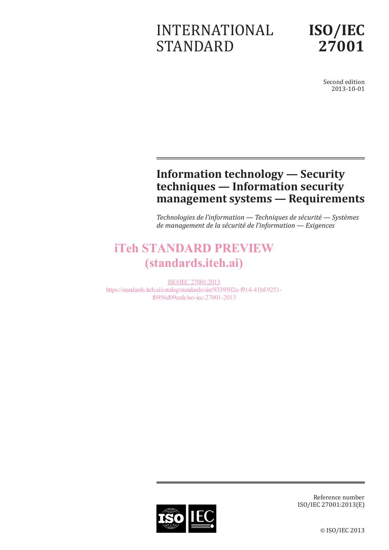# INTERNATIONAL STANDARD



Second edition 2013-10-01

# **Information technology — Security techniques — Information security management systems — Requirements**

*Technologies de l'information — Techniques de sécurité — Systèmes de management de la sécurité de l'information — Exigences*

# iTeh STANDARD PREVIEW (standards.iteh.ai)

ISO/IEC 27001:2013 https://standards.iteh.ai/catalog/standards/sist/9339502a-f914-41bf-9251 f6956d09eafa/iso-iec-27001-2013



Reference number ISO/IEC 27001:2013(E)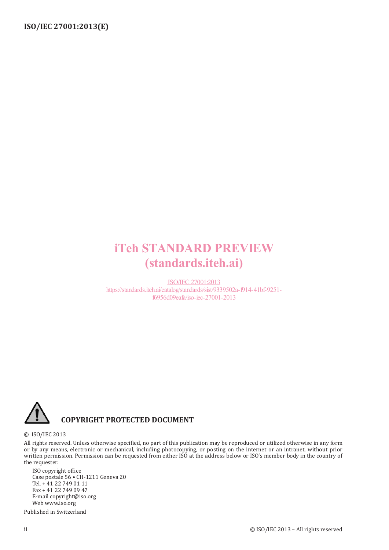# iTeh STANDARD PREVIEW (standards.iteh.ai)

ISO/IEC 27001:2013 https://standards.iteh.ai/catalog/standards/sist/9339502a-f914-41bf-9251 f6956d09eafa/iso-iec-27001-2013



#### © ISO/IEC 2013

All rights reserved. Unless otherwise specified, no part of this publication may be reproduced or utilized otherwise in any form or by any means, electronic or mechanical, including photocopying, or posting on the internet or an intranet, without prior written permission. Permission can be requested from either ISO at the address below or ISO's member body in the country of the requester.

ISO copyright office Case postale 56 • CH-1211 Geneva 20 Tel. + 41 22 749 01 11 Fax + 41 22 749 09 47 E-mail copyright@iso.org Web www.iso.org

Published in Switzerland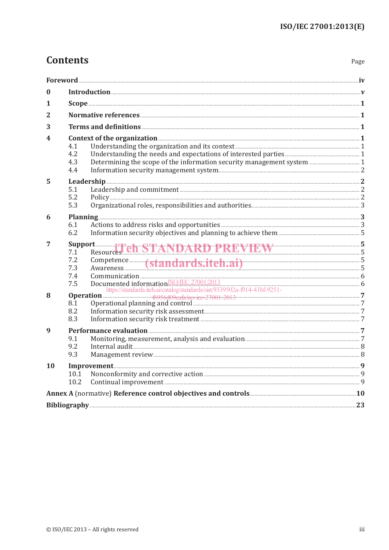# **Contents**

| 0  |                          |                                                                                                                                                                                                                                            |  |
|----|--------------------------|--------------------------------------------------------------------------------------------------------------------------------------------------------------------------------------------------------------------------------------------|--|
| 1  |                          |                                                                                                                                                                                                                                            |  |
| 2  |                          |                                                                                                                                                                                                                                            |  |
| 3  |                          |                                                                                                                                                                                                                                            |  |
| 4  | 4.1<br>4.2<br>4.3<br>4.4 | Context of the organization <b>Exercise Context</b> of the organization <b>and the set of the organization 1</b>                                                                                                                           |  |
| 5  | 5.1<br>5.2<br>5.3        |                                                                                                                                                                                                                                            |  |
| 6  | 6.1<br>6.2               | Planning 3                                                                                                                                                                                                                                 |  |
| 7  | 7.2<br>7.3<br>7.4<br>7.5 | Support<br>7.1 Resources Celi STANDARD PREVIEW 5<br>Competence (standards.itch.ai) 5<br>Communication 50/1602012013<br>Documented information 50/160270012013<br>https://standards.iteh.ai/catalog/standards/sist/9339502a-f914-41bf-9251- |  |
| 8  | 8.1<br>8.2<br>8.3        | Operational planning and control <b>Manual Action</b> 7                                                                                                                                                                                    |  |
| 9  | 9.1<br>9.2<br>9.3        |                                                                                                                                                                                                                                            |  |
| 10 | 10.1<br>10.2             | Improvement 9                                                                                                                                                                                                                              |  |
|    |                          |                                                                                                                                                                                                                                            |  |
|    |                          |                                                                                                                                                                                                                                            |  |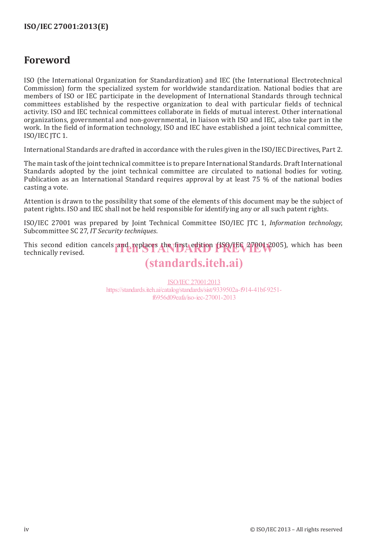### **Foreword**

ISO (the International Organization for Standardization) and IEC (the International Electrotechnical Commission) form the specialized system for worldwide standardization. National bodies that are members of ISO or IEC participate in the development of International Standards through technical committees established by the respective organization to deal with particular fields of technical activity. ISO and IEC technical committees collaborate in fields of mutual interest. Other international organizations, governmental and non-governmental, in liaison with ISO and IEC, also take part in the work. In the field of information technology, ISO and IEC have established a joint technical committee, ISO/IEC JTC 1.

International Standards are drafted in accordance with the rules given in the ISO/IEC Directives, Part 2.

The main task of the joint technical committee is to prepare International Standards. Draft International Standards adopted by the joint technical committee are circulated to national bodies for voting. Publication as an International Standard requires approval by at least 75 % of the national bodies casting a vote.

Attention is drawn to the possibility that some of the elements of this document may be the subject of patent rights. ISO and IEC shall not be held responsible for identifying any or all such patent rights.

ISO/IEC 27001 was prepared by Joint Technical Committee ISO/IEC JTC 1, *Information technology*, Subcommittee SC 27, *IT Security techniques*.

This second edition cancels and replaces the first edition (ISO/IEC 27001:2005), which has been technically revised. technically revised.

### (standards.iteh.ai)

ISO/IEC 27001:2013 https://standards.iteh.ai/catalog/standards/sist/9339502a-f914-41bf-9251 f6956d09eafa/iso-iec-27001-2013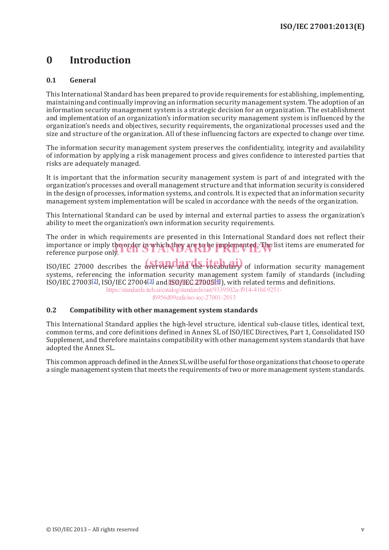## **0 Introduction**

#### **0.1 General**

This International Standard has been prepared to provide requirements for establishing, implementing, maintaining and continually improving an information security management system. The adoption of an information security management system is a strategic decision for an organization. The establishment and implementation of an organization's information security management system is influenced by the organization's needs and objectives, security requirements, the organizational processes used and the size and structure of the organization. All of these influencing factors are expected to change over time.

The information security management system preserves the confidentiality, integrity and availability of information by applying a risk management process and gives confidence to interested parties that risks are adequately managed.

It is important that the information security management system is part of and integrated with the organization's processes and overall management structure and that information security is considered in the design of processes, information systems, and controls. It is expected that an information security management system implementation will be scaled in accordance with the needs of the organization.

This International Standard can be used by internal and external parties to assess the organization's ability to meet the organization's own information security requirements.

The order in which requirements are presented in this International Standard does not reflect their importance or imply the order in which they are to be implemented. The list items are enumerated for reference purpose only. reference purpose only.

ISO/IEC 27000 describes the overview and the vocabulary of information security management systems, referencing the information security management system family of standards (including ISO/IEC 27003<sup>[2]</sup>, ISO/IEC 27004<sup>[3]</sup> and ISO/IEC 27005[4]), with related terms and definitions.

https://standards.iteh.ai/catalog/standards/sist/9339502a-f914-41bf-9251 f6956d09eafa/iso-iec-27001-2013

#### **0.2 Compatibility with other management system standards**

This International Standard applies the high-level structure, identical sub-clause titles, identical text, common terms, and core definitions defined in Annex SL of ISO/IEC Directives, Part 1, Consolidated ISO Supplement, and therefore maintains compatibility with other management system standards that have adopted the Annex SL.

This common approach defined in the Annex SL will be useful for those organizations that choose to operate a single management system that meets the requirements of two or more management system standards.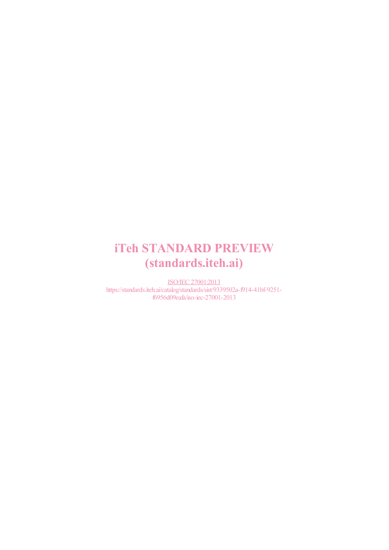# iTeh STANDARD PREVIEW (standards.iteh.ai)

ISO/IEC 27001:2013 https://standards.iteh.ai/catalog/standards/sist/9339502a-f914-41bf-9251 f6956d09eafa/iso-iec-27001-2013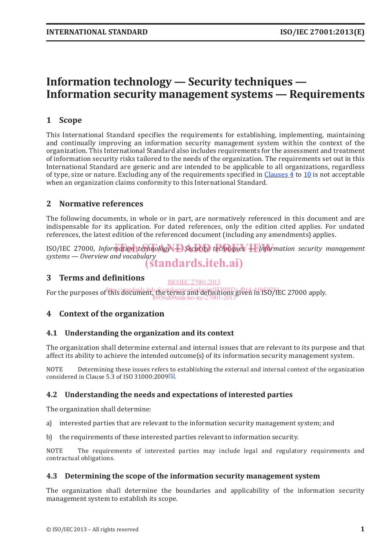### **Information technology — Security techniques — Information security management systems — Requirements**

#### **1 Scope**

This International Standard specifies the requirements for establishing, implementing, maintaining and continually improving an information security management system within the context of the organization. This International Standard also includes requirements for the assessment and treatment of information security risks tailored to the needs of the organization. The requirements set out in this International Standard are generic and are intended to be applicable to all organizations, regardless of type, size or nature. Excluding any of the requirements specified in Clauses 4 to 10 is not acceptable when an organization claims conformity to this International Standard.

#### **2 Normative references**

The following documents, in whole or in part, are normatively referenced in this document and are indispensable for its application. For dated references, only the edition cited applies. For undated references, the latest edition of the referenced document (including any amendments) applies.

ISO/IEC 27000, *Information technology*  $\bigoplus$  Security techniques  $\bigoplus$  Information security management *systems — Overview and vocabulary* (standards.iteh.ai)

#### **3 Terms and definitions**

ISO/IEC 27001:2013

For the purposes of this document in a catalogistandards in 0339502a-f914-41 https://https://www.therms.iteh.ai/catalogy.com/integral/sist/9339502a-f1 https://tec 27000 apply. f6956d09eafa/iso-iec-27001-2013

#### **4 Context of the organization**

#### **4.1 Understanding the organization and its context**

The organization shall determine external and internal issues that are relevant to its purpose and that affect its ability to achieve the intended outcome(s) of its information security management system.

NOTE Determining these issues refers to establishing the external and internal context of the organization considered in Clause 5.3 of ISO 31000:2009[5].

#### **4.2 Understanding the needs and expectations of interested parties**

The organization shall determine:

a) interested parties that are relevant to the information security management system; and

b) the requirements of these interested parties relevant to information security.

NOTE The requirements of interested parties may include legal and regulatory requirements and contractual obligations.

#### **4.3 Determining the scope of the information security management system**

The organization shall determine the boundaries and applicability of the information security management system to establish its scope.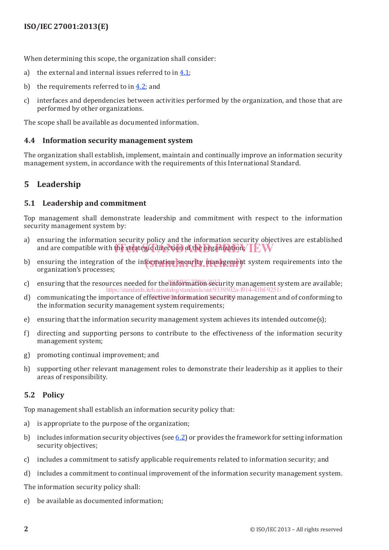### **ISO/IEC 27001:2013(E)**

When determining this scope, the organization shall consider:

- a) the external and internal issues referred to in 4.1;
- b) the requirements referred to in  $4.2$ ; and
- c) interfaces and dependencies between activities performed by the organization, and those that are performed by other organizations.

The scope shall be available as documented information.

#### **4.4 Information security management system**

The organization shall establish, implement, maintain and continually improve an information security management system, in accordance with the requirements of this International Standard.

#### **5 Leadership**

#### **5.1 Leadership and commitment**

Top management shall demonstrate leadership and commitment with respect to the information security management system by:

- a) ensuring the information security policy and the information security objectives are established and are compatible with the strategic direction of the organization; **EW**
- b) ensuring the integration of the information sequrity management system requirements into the organization's processes: organization's processes;
- c) ensuring that the resources needed for the information security management system are available; https://standards.iteh.ai/catalog/standards/sist/9339502a-f914-41bf-
- d) communicating the importance of effective information security management and of conforming to the information security management system requirements;
- e) ensuring that the information security management system achieves its intended outcome(s);
- f) directing and supporting persons to contribute to the effectiveness of the information security management system;
- g) promoting continual improvement; and
- h) supporting other relevant management roles to demonstrate their leadership as it applies to their areas of responsibility.

#### **5.2 Policy**

Top management shall establish an information security policy that:

- a) is appropriate to the purpose of the organization;
- b) includes information security objectives (see  $6.2$ ) or provides the framework for setting information security objectives;
- c) includes a commitment to satisfy applicable requirements related to information security; and
- d) includes a commitment to continual improvement of the information security management system.

The information security policy shall:

e) be available as documented information;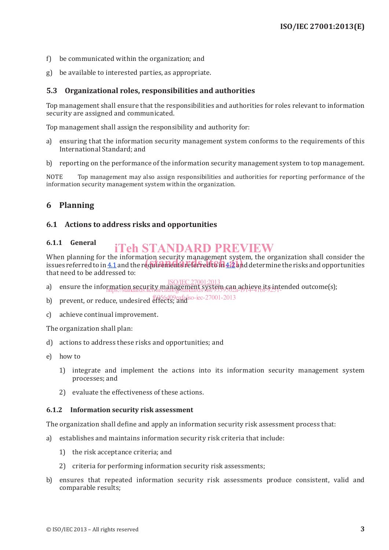- f) be communicated within the organization; and
- g) be available to interested parties, as appropriate.

#### **5.3 Organizational roles, responsibilities and authorities**

Top management shall ensure that the responsibilities and authorities for roles relevant to information security are assigned and communicated.

Top management shall assign the responsibility and authority for:

- a) ensuring that the information security management system conforms to the requirements of this International Standard; and
- b) reporting on the performance of the information security management system to top management.

NOTE Top management may also assign responsibilities and authorities for reporting performance of the information security management system within the organization.

#### **6 Planning**

#### **6.1 Actions to address risks and opportunities**

#### **6.1.1 General**

### iTeh STANDARD PREVIEW

When planning for the information security management system, the organization shall consider the when planning for the information security management system, the organization shall consider the<br>issues referred to in <u>4.1</u> and the requirements referred to in 42 and determine the risks and opportunities that need to be addressed to:

- a) ensure the information security management system can achieve its intended outcome(s);<br>https://standards.iteh.ai/catalog/standards/sist/9339502a-1914-41bf-9251-ISO/IEC 27001:2013
- b) prevent, or reduce, undesired effects; and so-iec-27001-2013
- c) achieve continual improvement.

The organization shall plan:

- d) actions to address these risks and opportunities; and
- e) how to
	- 1) integrate and implement the actions into its information security management system processes; and
	- 2) evaluate the effectiveness of these actions.

#### **6.1.2 Information security risk assessment**

The organization shall define and apply an information security risk assessment process that:

- a) establishes and maintains information security risk criteria that include:
	- 1) the risk acceptance criteria; and
	- 2) criteria for performing information security risk assessments:
- b) ensures that repeated information security risk assessments produce consistent, valid and comparable results;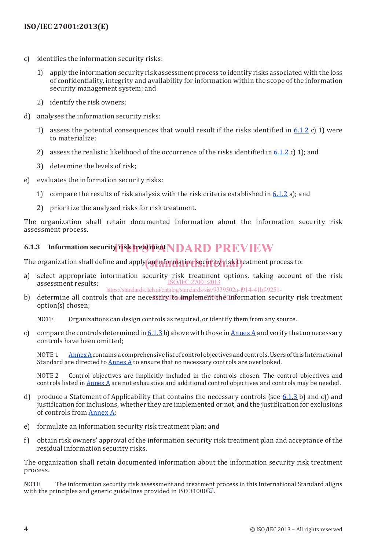- c) identifies the information security risks:
	- 1) apply the information security risk assessment process to identify risks associated with the loss of confidentiality, integrity and availability for information within the scope of the information security management system; and
	- 2) identify the risk owners;
- d) analyses the information security risks:
	- 1) assess the potential consequences that would result if the risks identified in 6.1.2 c) 1) were to materialize;
	- 2) assess the realistic likelihood of the occurrence of the risks identified in 6.1.2 c) 1); and
	- 3) determine the levels of risk;
- e) evaluates the information security risks:
	- 1) compare the results of risk analysis with the risk criteria established in  $6.1.2$  a); and
	- 2) prioritize the analysed risks for risk treatment.

The organization shall retain documented information about the information security risk assessment process.

# **6.1.3** Information security risk treatment NDARD PREVIEW

The organization shall define and apply <mark>an information security risk tr</mark>eatment process to:

- a) select appropriate information security risk treatment options, taking account of the risk assessment results; ISO/IEC 27001:2013 https://standards.iteh.ai/catalog/standards/sist/9339502a-f914-41bf-9251-
- b) determine all controls that are necessary (to implement the information security risk treatment option(s) chosen;
	- NOTE Organizations can design controls as required, or identify them from any source.
- c) compare the controls determined in  $6.1.3$  b) above with those in Annex A and verify that no necessary controls have been omitted;

NOTE 1 AnnexA contains a comprehensive list of control objectives and controls. Users of this International Standard are directed to Annex A to ensure that no necessary controls are overlooked.

NOTE 2 Control objectives are implicitly included in the controls chosen. The control objectives and controls listed in Annex A are not exhaustive and additional control objectives and controls may be needed.

- d) produce a Statement of Applicability that contains the necessary controls (see 6.1.3 b) and c)) and justification for inclusions, whether they are implemented or not, and the justification for exclusions of controls from Annex A;
- e) formulate an information security risk treatment plan; and
- f) obtain risk owners' approval of the information security risk treatment plan and acceptance of the residual information security risks.

The organization shall retain documented information about the information security risk treatment process.

NOTE The information security risk assessment and treatment process in this International Standard aligns with the principles and generic guidelines provided in ISO 31000[5].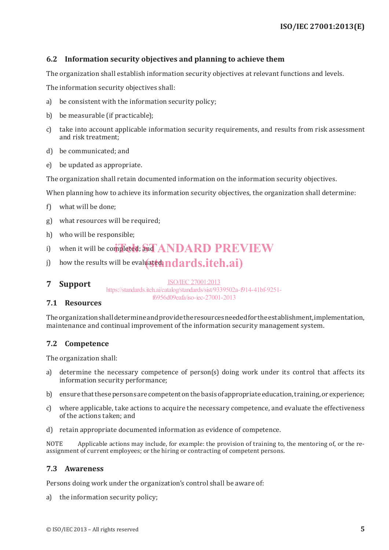#### **6.2 Information security objectives and planning to achieve them**

The organization shall establish information security objectives at relevant functions and levels.

The information security objectives shall:

- a) be consistent with the information security policy;
- b) be measurable (if practicable);
- c) take into account applicable information security requirements, and results from risk assessment and risk treatment;
- d) be communicated; and
- e) be updated as appropriate.

The organization shall retain documented information on the information security objectives.

When planning how to achieve its information security objectives, the organization shall determine:

- f) what will be done;
- g) what resources will be required;
- h) who will be responsible;
- i) when it will be completed; and  $\bf{ANDARD}$   $\bf{PREVIEW}$
- j) how the results will be evaluated  $\mathbf{and} \mathbf{x}.$

#### **7 Support**

ISO/IEC 27001:2013 https://standards.iteh.ai/catalog/standards/sist/9339502a-f914-41bf-9251 f6956d09eafa/iso-iec-27001-2013

#### **7.1 Resources**

The organization shall determine and provide the resources needed for the establishment, implementation, maintenance and continual improvement of the information security management system.

#### **7.2 Competence**

The organization shall:

- a) determine the necessary competence of person(s) doing work under its control that affects its information security performance;
- b) ensure that these persons are competent on the basis of appropriate education, training, or experience;
- c) where applicable, take actions to acquire the necessary competence, and evaluate the effectiveness of the actions taken; and
- d) retain appropriate documented information as evidence of competence.

NOTE Applicable actions may include, for example: the provision of training to, the mentoring of, or the reassignment of current employees; or the hiring or contracting of competent persons.

#### **7.3 Awareness**

Persons doing work under the organization's control shall be aware of:

a) the information security policy;